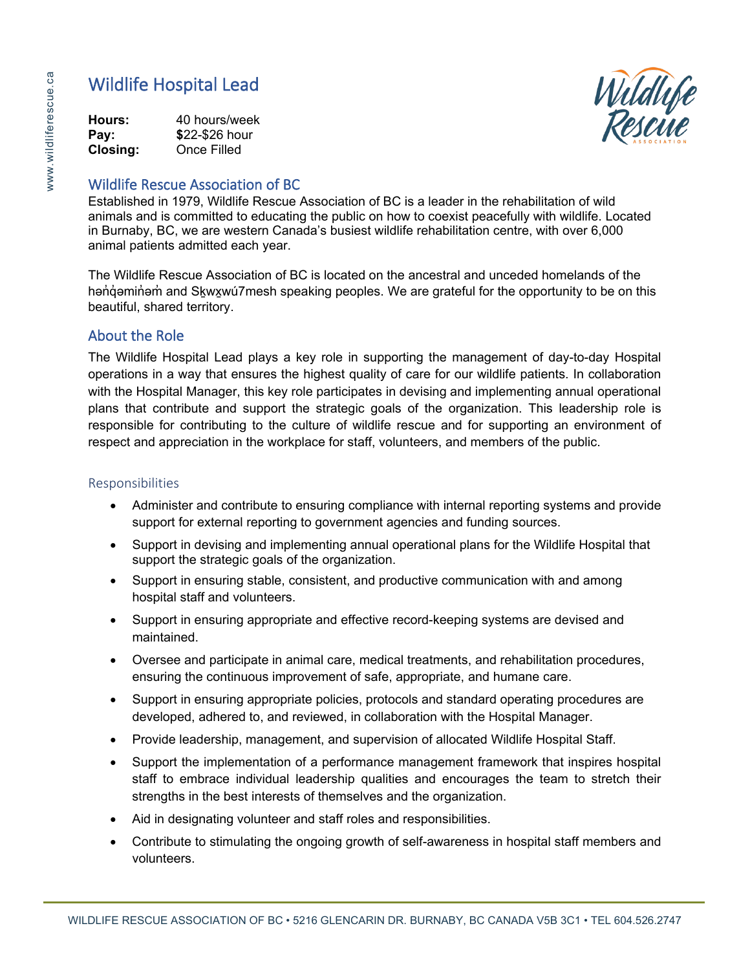

#### **Hours:** 40 hours/week **Pay: \$**22-\$26 hour **Closing:** Once Filled

## Wildlife Rescue Association of BC

Established in 1979, Wildlife Rescue Association of BC is a leader in the rehabilitation of wild animals and is committed to educating the public on how to coexist peacefully with wildlife. Located in Burnaby, BC, we are western Canada's busiest wildlife rehabilitation centre, with over 6,000 animal patients admitted each year.

The Wildlife Rescue Association of BC is located on the ancestral and unceded homelands of the hən d
amin and Skwxwu 7 mesh speaking peoples. We are grateful for the opportunity to be on this beautiful, shared territory.

# About the Role

The Wildlife Hospital Lead plays a key role in supporting the management of day-to-day Hospital operations in a way that ensures the highest quality of care for our wildlife patients. In collaboration with the Hospital Manager, this key role participates in devising and implementing annual operational plans that contribute and support the strategic goals of the organization. This leadership role is responsible for contributing to the culture of wildlife rescue and for supporting an environment of respect and appreciation in the workplace for staff, volunteers, and members of the public.

## Responsibilities

- Administer and contribute to ensuring compliance with internal reporting systems and provide support for external reporting to government agencies and funding sources.
- Support in devising and implementing annual operational plans for the Wildlife Hospital that support the strategic goals of the organization.
- Support in ensuring stable, consistent, and productive communication with and among hospital staff and volunteers.
- Support in ensuring appropriate and effective record-keeping systems are devised and maintained.
- Oversee and participate in animal care, medical treatments, and rehabilitation procedures, ensuring the continuous improvement of safe, appropriate, and humane care.
- Support in ensuring appropriate policies, protocols and standard operating procedures are developed, adhered to, and reviewed, in collaboration with the Hospital Manager.
- Provide leadership, management, and supervision of allocated Wildlife Hospital Staff.
- Support the implementation of a performance management framework that inspires hospital staff to embrace individual leadership qualities and encourages the team to stretch their strengths in the best interests of themselves and the organization.
- Aid in designating volunteer and staff roles and responsibilities.
- Contribute to stimulating the ongoing growth of self-awareness in hospital staff members and volunteers.